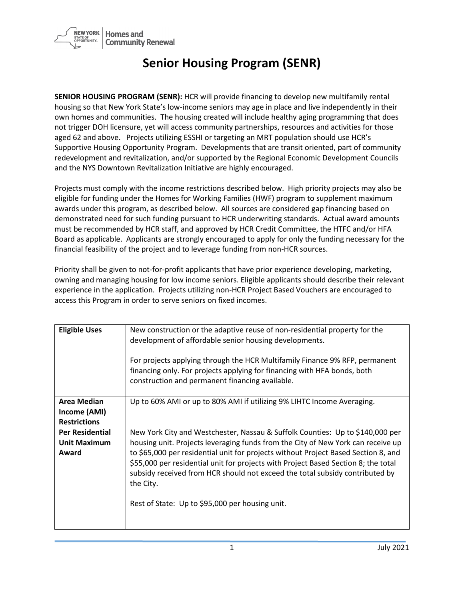

## **Senior Housing Program (SENR)**

**SENIOR HOUSING PROGRAM (SENR):** HCR will provide financing to develop new multifamily rental housing so that New York State's low-income seniors may age in place and live independently in their own homes and communities. The housing created will include healthy aging programming that does not trigger DOH licensure, yet will access community partnerships, resources and activities for those aged 62 and above. Projects utilizing ESSHI or targeting an MRT population should use HCR's Supportive Housing Opportunity Program. Developments that are transit oriented, part of community redevelopment and revitalization, and/or supported by the Regional Economic Development Councils and the NYS Downtown Revitalization Initiative are highly encouraged.

Projects must comply with the income restrictions described below. High priority projects may also be eligible for funding under the Homes for Working Families (HWF) program to supplement maximum awards under this program, as described below. All sources are considered gap financing based on demonstrated need for such funding pursuant to HCR underwriting standards. Actual award amounts must be recommended by HCR staff, and approved by HCR Credit Committee, the HTFC and/or HFA Board as applicable. Applicants are strongly encouraged to apply for only the funding necessary for the financial feasibility of the project and to leverage funding from non-HCR sources.

Priority shall be given to not-for-profit applicants that have prior experience developing, marketing, owning and managing housing for low income seniors. Eligible applicants should describe their relevant experience in the application. Projects utilizing non-HCR Project Based Vouchers are encouraged to access this Program in order to serve seniors on fixed incomes.

| <b>Eligible Uses</b>                | New construction or the adaptive reuse of non-residential property for the<br>development of affordable senior housing developments.<br>For projects applying through the HCR Multifamily Finance 9% RFP, permanent<br>financing only. For projects applying for financing with HFA bonds, both<br>construction and permanent financing available. |
|-------------------------------------|----------------------------------------------------------------------------------------------------------------------------------------------------------------------------------------------------------------------------------------------------------------------------------------------------------------------------------------------------|
| <b>Area Median</b>                  | Up to 60% AMI or up to 80% AMI if utilizing 9% LIHTC Income Averaging.                                                                                                                                                                                                                                                                             |
| Income (AMI)<br><b>Restrictions</b> |                                                                                                                                                                                                                                                                                                                                                    |
|                                     |                                                                                                                                                                                                                                                                                                                                                    |
| <b>Per Residential</b>              | New York City and Westchester, Nassau & Suffolk Counties: Up to \$140,000 per                                                                                                                                                                                                                                                                      |
| <b>Unit Maximum</b>                 | housing unit. Projects leveraging funds from the City of New York can receive up                                                                                                                                                                                                                                                                   |
| Award                               | to \$65,000 per residential unit for projects without Project Based Section 8, and<br>\$55,000 per residential unit for projects with Project Based Section 8; the total<br>subsidy received from HCR should not exceed the total subsidy contributed by<br>the City.<br>Rest of State: Up to \$95,000 per housing unit.                           |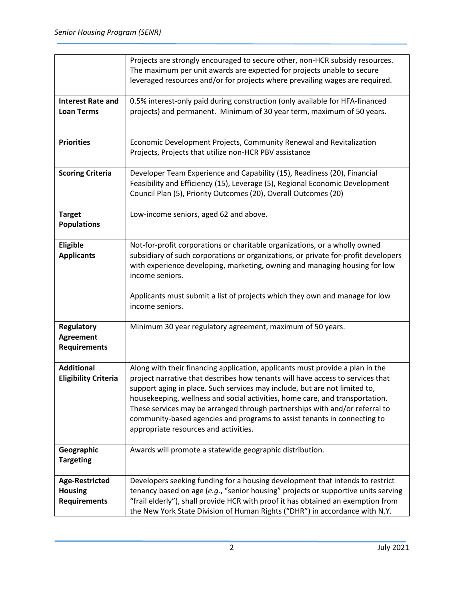|                             | Projects are strongly encouraged to secure other, non-HCR subsidy resources.       |
|-----------------------------|------------------------------------------------------------------------------------|
|                             | The maximum per unit awards are expected for projects unable to secure             |
|                             | leveraged resources and/or for projects where prevailing wages are required.       |
| <b>Interest Rate and</b>    | 0.5% interest-only paid during construction (only available for HFA-financed       |
| <b>Loan Terms</b>           | projects) and permanent. Minimum of 30 year term, maximum of 50 years.             |
|                             |                                                                                    |
| <b>Priorities</b>           | Economic Development Projects, Community Renewal and Revitalization                |
|                             | Projects, Projects that utilize non-HCR PBV assistance                             |
|                             |                                                                                    |
| <b>Scoring Criteria</b>     | Developer Team Experience and Capability (15), Readiness (20), Financial           |
|                             | Feasibility and Efficiency (15), Leverage (5), Regional Economic Development       |
|                             | Council Plan (5), Priority Outcomes (20), Overall Outcomes (20)                    |
|                             |                                                                                    |
| <b>Target</b>               | Low-income seniors, aged 62 and above.                                             |
| <b>Populations</b>          |                                                                                    |
| Eligible                    | Not-for-profit corporations or charitable organizations, or a wholly owned         |
| <b>Applicants</b>           | subsidiary of such corporations or organizations, or private for-profit developers |
|                             | with experience developing, marketing, owning and managing housing for low         |
|                             | income seniors.                                                                    |
|                             |                                                                                    |
|                             | Applicants must submit a list of projects which they own and manage for low        |
|                             | income seniors.                                                                    |
|                             |                                                                                    |
| <b>Regulatory</b>           | Minimum 30 year regulatory agreement, maximum of 50 years.                         |
| <b>Agreement</b>            |                                                                                    |
| <b>Requirements</b>         |                                                                                    |
| <b>Additional</b>           | Along with their financing application, applicants must provide a plan in the      |
| <b>Eligibility Criteria</b> | project narrative that describes how tenants will have access to services that     |
|                             | support aging in place. Such services may include, but are not limited to,         |
|                             | housekeeping, wellness and social activities, home care, and transportation.       |
|                             | These services may be arranged through partnerships with and/or referral to        |
|                             | community-based agencies and programs to assist tenants in connecting to           |
|                             | appropriate resources and activities.                                              |
|                             |                                                                                    |
| Geographic                  | Awards will promote a statewide geographic distribution.                           |
| <b>Targeting</b>            |                                                                                    |
| Age-Restricted              | Developers seeking funding for a housing development that intends to restrict      |
| <b>Housing</b>              | tenancy based on age (e.g., "senior housing" projects or supportive units serving  |
| <b>Requirements</b>         | "frail elderly"), shall provide HCR with proof it has obtained an exemption from   |
|                             | the New York State Division of Human Rights ("DHR") in accordance with N.Y.        |